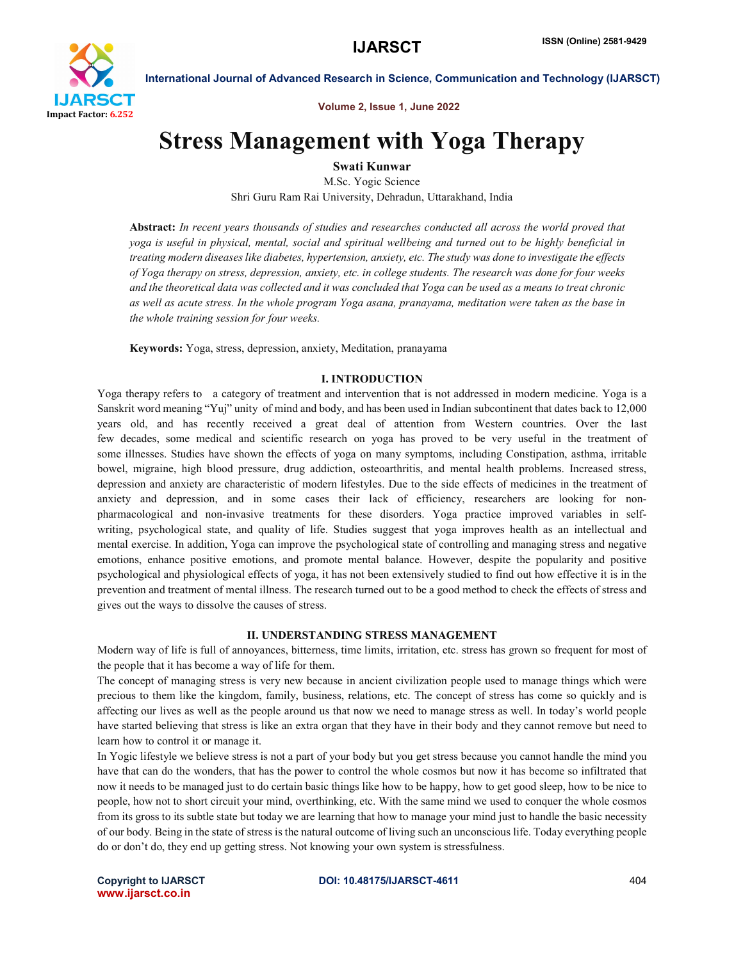

Volume 2, Issue 1, June 2022

# Stress Management with Yoga Therapy

Swati Kunwar

M.Sc. Yogic Science Shri Guru Ram Rai University, Dehradun, Uttarakhand, India

Abstract: *In recent years thousands of studies and researches conducted all across the world proved that yoga is useful in physical, mental, social and spiritual wellbeing and turned out to be highly beneficial in treating modern diseases like diabetes, hypertension, anxiety, etc. The study was done to investigate the effects of Yoga therapy on stress, depression, anxiety, etc. in college students. The research was done for four weeks and the theoretical data was collected and it was concluded that Yoga can be used as a means to treat chronic as well as acute stress. In the whole program Yoga asana, pranayama, meditation were taken as the base in the whole training session for four weeks.*

Keywords: Yoga, stress, depression, anxiety, Meditation, pranayama

#### I. INTRODUCTION

Yoga therapy refers to a category of treatment and intervention that is not addressed in modern medicine. Yoga is a Sanskrit word meaning "Yuj" unity of mind and body, and has been used in Indian subcontinent that dates back to 12,000 years old, and has recently received a great deal of attention from Western countries. Over the last few decades, some medical and scientific research on yoga has proved to be very useful in the treatment of some illnesses. Studies have shown the effects of yoga on many symptoms, including Constipation, asthma, irritable bowel, migraine, high blood pressure, drug addiction, osteoarthritis, and mental health problems. Increased stress, depression and anxiety are characteristic of modern lifestyles. Due to the side effects of medicines in the treatment of anxiety and depression, and in some cases their lack of efficiency, researchers are looking for nonpharmacological and non-invasive treatments for these disorders. Yoga practice improved variables in selfwriting, psychological state, and quality of life. Studies suggest that yoga improves health as an intellectual and mental exercise. In addition, Yoga can improve the psychological state of controlling and managing stress and negative emotions, enhance positive emotions, and promote mental balance. However, despite the popularity and positive psychological and physiological effects of yoga, it has not been extensively studied to find out how effective it is in the prevention and treatment of mental illness. The research turned out to be a good method to check the effects of stress and gives out the ways to dissolve the causes of stress.

#### II. UNDERSTANDING STRESS MANAGEMENT

Modern way of life is full of annoyances, bitterness, time limits, irritation, etc. stress has grown so frequent for most of the people that it has become a way of life for them.

The concept of managing stress is very new because in ancient civilization people used to manage things which were precious to them like the kingdom, family, business, relations, etc. The concept of stress has come so quickly and is affecting our lives as well as the people around us that now we need to manage stress as well. In today's world people have started believing that stress is like an extra organ that they have in their body and they cannot remove but need to learn how to control it or manage it.

In Yogic lifestyle we believe stress is not a part of your body but you get stress because you cannot handle the mind you have that can do the wonders, that has the power to control the whole cosmos but now it has become so infiltrated that now it needs to be managed just to do certain basic things like how to be happy, how to get good sleep, how to be nice to people, how not to short circuit your mind, overthinking, etc. With the same mind we used to conquer the whole cosmos from its gross to its subtle state but today we are learning that how to manage your mind just to handle the basic necessity of our body. Being in the state of stress is the natural outcome of living such an unconscious life. Today everything people do or don't do, they end up getting stress. Not knowing your own system is stressfulness.

www.ijarsct.co.in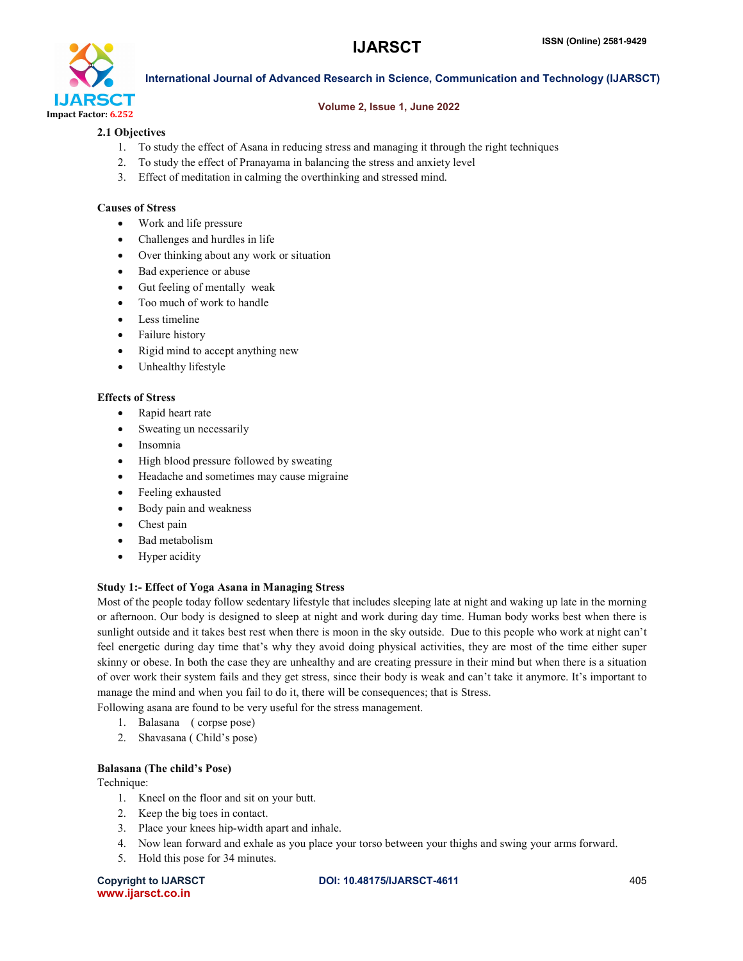

# Volume 2, Issue 1, June 2022

# 2.1 Objectives

- 1. To study the effect of Asana in reducing stress and managing it through the right techniques
- 2. To study the effect of Pranayama in balancing the stress and anxiety level
- 3. Effect of meditation in calming the overthinking and stressed mind.

# Causes of Stress

- Work and life pressure
- Challenges and hurdles in life
- Over thinking about any work or situation
- Bad experience or abuse
- Gut feeling of mentally weak
- Too much of work to handle
- Less timeline
- Failure history
- Rigid mind to accept anything new
- Unhealthy lifestyle

# Effects of Stress

- Rapid heart rate
- Sweating un necessarily
- Insomnia
- High blood pressure followed by sweating
- Headache and sometimes may cause migraine
- Feeling exhausted
- Body pain and weakness
- Chest pain
- Bad metabolism
- Hyper acidity

# Study 1:- Effect of Yoga Asana in Managing Stress

Most of the people today follow sedentary lifestyle that includes sleeping late at night and waking up late in the morning or afternoon. Our body is designed to sleep at night and work during day time. Human body works best when there is sunlight outside and it takes best rest when there is moon in the sky outside. Due to this people who work at night can't feel energetic during day time that's why they avoid doing physical activities, they are most of the time either super skinny or obese. In both the case they are unhealthy and are creating pressure in their mind but when there is a situation of over work their system fails and they get stress, since their body is weak and can't take it anymore. It's important to manage the mind and when you fail to do it, there will be consequences; that is Stress.

Following asana are found to be very useful for the stress management.

- 1. Balasana ( corpse pose)
- 2. Shavasana ( Child's pose)

# Balasana (The child's Pose)

Technique:

- 1. Kneel on the floor and sit on your butt.
- 2. Keep the big toes in contact.
- 3. Place your knees hip-width apart and inhale.
- 4. Now lean forward and exhale as you place your torso between your thighs and swing your arms forward.
- 5. Hold this pose for 34 minutes.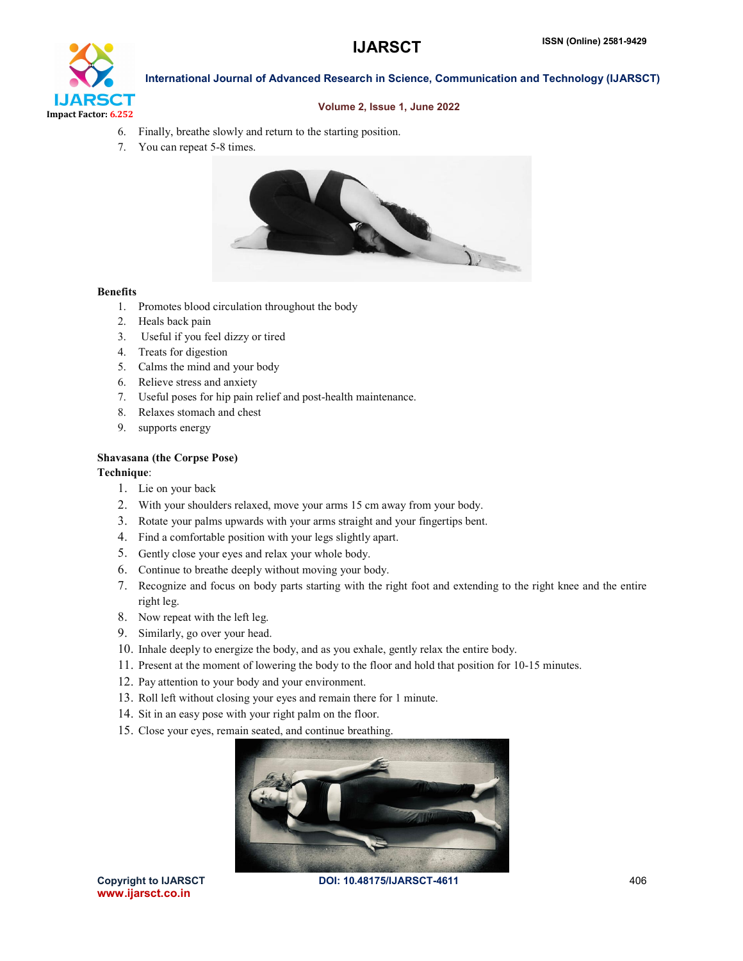

# Volume 2, Issue 1, June 2022

- 6. Finally, breathe slowly and return to the starting position.
- 7. You can repeat 5-8 times.



# Benefits

- 1. Promotes blood circulation throughout the body
- 2. Heals back pain
- 3. Useful if you feel dizzy or tired
- 4. Treats for digestion
- 5. Calms the mind and your body
- 6. Relieve stress and anxiety
- 7. Useful poses for hip pain relief and post-health maintenance.
- 8. Relaxes stomach and chest
- 9. supports energy

# Shavasana (the Corpse Pose)

#### Technique:

- 1. Lie on your back
- 2. With your shoulders relaxed, move your arms 15 cm away from your body.
- 3. Rotate your palms upwards with your arms straight and your fingertips bent.
- 4. Find a comfortable position with your legs slightly apart.
- 5. Gently close your eyes and relax your whole body.
- 6. Continue to breathe deeply without moving your body.
- 7. Recognize and focus on body parts starting with the right foot and extending to the right knee and the entire right leg.
- 8. Now repeat with the left leg.
- 9. Similarly, go over your head.
- 10. Inhale deeply to energize the body, and as you exhale, gently relax the entire body.
- 11. Present at the moment of lowering the body to the floor and hold that position for 10-15 minutes.
- 12. Pay attention to your body and your environment.
- 13. Roll left without closing your eyes and remain there for 1 minute.
- 14. Sit in an easy pose with your right palm on the floor.
- 15. Close your eyes, remain seated, and continue breathing.



www.ijarsct.co.in

Copyright to IJARSCT **DOI: 10.48175/IJARSCT-4611** 406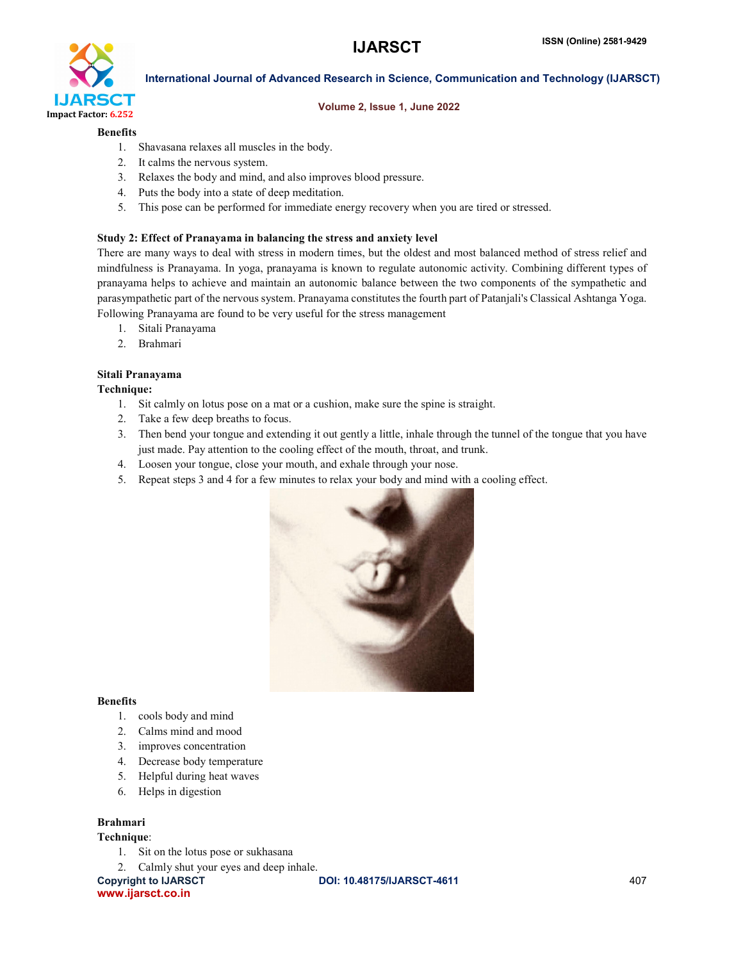

#### Volume 2, Issue 1, June 2022

#### **Benefits**

- 1. Shavasana relaxes all muscles in the body.
- 2. It calms the nervous system.
- 3. Relaxes the body and mind, and also improves blood pressure.
- 4. Puts the body into a state of deep meditation.
- 5. This pose can be performed for immediate energy recovery when you are tired or stressed.

#### Study 2: Effect of Pranayama in balancing the stress and anxiety level

There are many ways to deal with stress in modern times, but the oldest and most balanced method of stress relief and mindfulness is Pranayama. In yoga, pranayama is known to regulate autonomic activity. Combining different types of pranayama helps to achieve and maintain an autonomic balance between the two components of the sympathetic and parasympathetic part of the nervous system. Pranayama constitutes the fourth part of Patanjali's Classical Ashtanga Yoga. Following Pranayama are found to be very useful for the stress management

- 1. Sitali Pranayama
- 2. Brahmari

# Sitali Pranayama

Technique:

- 1. Sit calmly on lotus pose on a mat or a cushion, make sure the spine is straight.
- 2. Take a few deep breaths to focus.
- 3. Then bend your tongue and extending it out gently a little, inhale through the tunnel of the tongue that you have just made. Pay attention to the cooling effect of the mouth, throat, and trunk.
- 4. Loosen your tongue, close your mouth, and exhale through your nose.
- 5. Repeat steps 3 and 4 for a few minutes to relax your body and mind with a cooling effect.



# Benefits

- 1. cools body and mind
- 2. Calms mind and mood
- 3. improves concentration
- 4. Decrease body temperature
- 5. Helpful during heat waves
- 6. Helps in digestion

# Brahmari

#### Technique:

- 1. Sit on the lotus pose or sukhasana
- 2. Calmly shut your eyes and deep inhale.

www.ijarsct.co.in

Copyright to IJARSCT **DOI: 10.48175/IJARSCT-4611** 407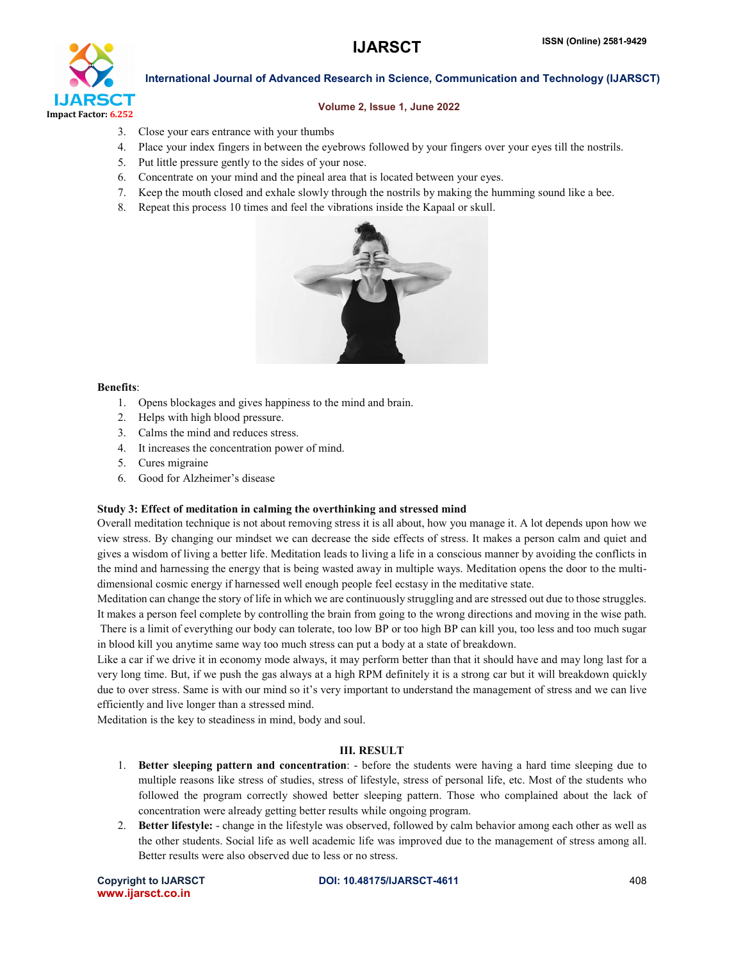

#### Volume 2, Issue 1, June 2022

- 3. Close your ears entrance with your thumbs
- 4. Place your index fingers in between the eyebrows followed by your fingers over your eyes till the nostrils.
- 5. Put little pressure gently to the sides of your nose.
- 6. Concentrate on your mind and the pineal area that is located between your eyes.
- 7. Keep the mouth closed and exhale slowly through the nostrils by making the humming sound like a bee.
- 8. Repeat this process 10 times and feel the vibrations inside the Kapaal or skull.



# Benefits:

- 1. Opens blockages and gives happiness to the mind and brain.
- 2. Helps with high blood pressure.
- 3. Calms the mind and reduces stress.
- 4. It increases the concentration power of mind.
- 5. Cures migraine
- 6. Good for Alzheimer's disease

#### Study 3: Effect of meditation in calming the overthinking and stressed mind

Overall meditation technique is not about removing stress it is all about, how you manage it. A lot depends upon how we view stress. By changing our mindset we can decrease the side effects of stress. It makes a person calm and quiet and gives a wisdom of living a better life. Meditation leads to living a life in a conscious manner by avoiding the conflicts in the mind and harnessing the energy that is being wasted away in multiple ways. Meditation opens the door to the multidimensional cosmic energy if harnessed well enough people feel ecstasy in the meditative state.

Meditation can change the story of life in which we are continuously struggling and are stressed out due to those struggles. It makes a person feel complete by controlling the brain from going to the wrong directions and moving in the wise path. There is a limit of everything our body can tolerate, too low BP or too high BP can kill you, too less and too much sugar in blood kill you anytime same way too much stress can put a body at a state of breakdown.

Like a car if we drive it in economy mode always, it may perform better than that it should have and may long last for a very long time. But, if we push the gas always at a high RPM definitely it is a strong car but it will breakdown quickly due to over stress. Same is with our mind so it's very important to understand the management of stress and we can live efficiently and live longer than a stressed mind.

Meditation is the key to steadiness in mind, body and soul.

#### III. RESULT

- 1. Better sleeping pattern and concentration: before the students were having a hard time sleeping due to multiple reasons like stress of studies, stress of lifestyle, stress of personal life, etc. Most of the students who followed the program correctly showed better sleeping pattern. Those who complained about the lack of concentration were already getting better results while ongoing program.
- 2. Better lifestyle: change in the lifestyle was observed, followed by calm behavior among each other as well as the other students. Social life as well academic life was improved due to the management of stress among all. Better results were also observed due to less or no stress.

www.ijarsct.co.in